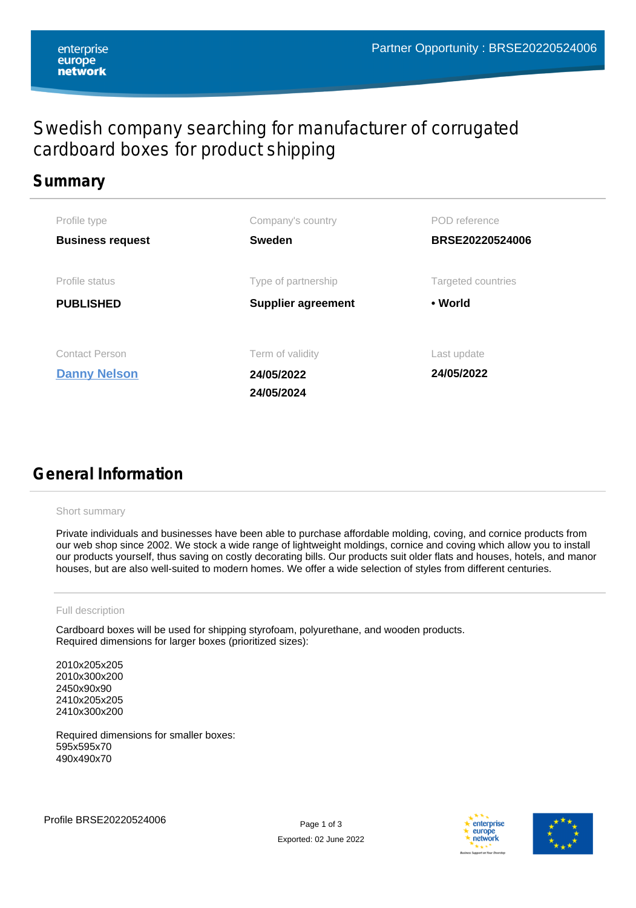# Swedish company searching for manufacturer of corrugated cardboard boxes for product shipping

## **Summary**

| Profile type                                 | Company's country                            | POD reference             |
|----------------------------------------------|----------------------------------------------|---------------------------|
| <b>Business request</b>                      | <b>Sweden</b>                                | BRSE20220524006           |
| Profile status                               | Type of partnership                          | Targeted countries        |
| <b>PUBLISHED</b>                             | <b>Supplier agreement</b>                    | • World                   |
| <b>Contact Person</b><br><b>Danny Nelson</b> | Term of validity<br>24/05/2022<br>24/05/2024 | Last update<br>24/05/2022 |

# **General Information**

#### Short summary

Private individuals and businesses have been able to purchase affordable molding, coving, and cornice products from our web shop since 2002. We stock a wide range of lightweight moldings, cornice and coving which allow you to install our products yourself, thus saving on costly decorating bills. Our products suit older flats and houses, hotels, and manor houses, but are also well-suited to modern homes. We offer a wide selection of styles from different centuries.

### Full description

Cardboard boxes will be used for shipping styrofoam, polyurethane, and wooden products. Required dimensions for larger boxes (prioritized sizes):

2010 205 205 2010х300х200 2450 90 90 2410 205 205 2410 300 200

Required dimensions for smaller boxes: 595x595x70 490x490x70



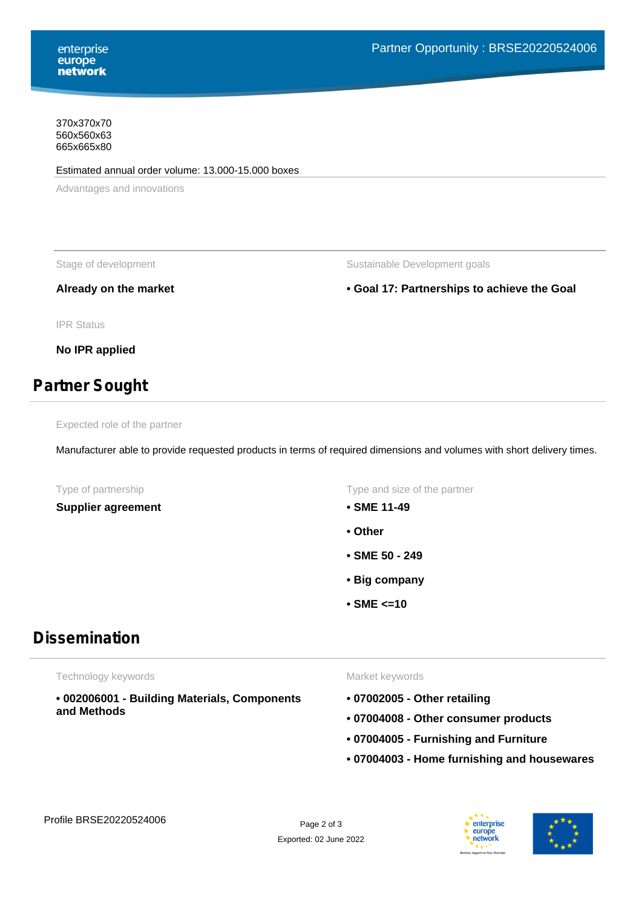370x370x70 560x560x63 665x665x80

#### Estimated annual order volume: 13.000-15.000 boxes

Advantages and innovations

Stage of development The Sustainable Development goals

**Already on the market • Goal 17: Partnerships to achieve the Goal**

IPR Status

**No IPR applied**

## **Partner Sought**

Expected role of the partner

Manufacturer able to provide requested products in terms of required dimensions and volumes with short delivery times.

**Supplier agreement • SME 11-49**

Type of partnership Type and size of the partner

- 
- **Other**
- **SME 50 249**
- **Big company**
- **SME <=10**

## **Dissemination**

Technology keywords

**• 002006001 - Building Materials, Components and Methods**

#### Market keywords

- **07002005 Other retailing**
- **07004008 Other consumer products**
- **07004005 Furnishing and Furniture**
- **07004003 Home furnishing and housewares**